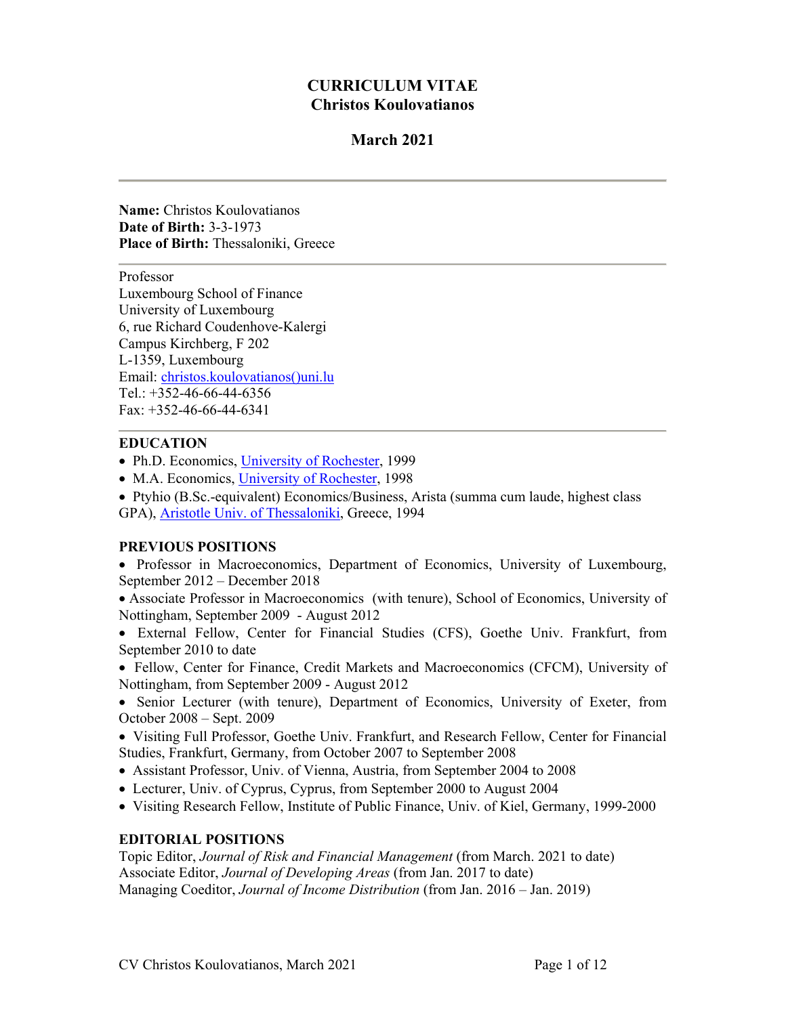# **CURRICULUM VITAE Christos Koulovatianos**

# **March 2021**

**Name:** Christos Koulovatianos **Date of Birth:** 3-3-1973 **Place of Birth:** Thessaloniki, Greece

Professor Luxembourg School of Finance University of Luxembourg 6, rue Richard Coudenhove-Kalergi Campus Kirchberg, F 202 L-1359, Luxembourg Email: christos.koulovatianos()uni.lu Tel.: +352-46-66-44-6356 Fax: +352-46-66-44-6341

## **EDUCATION**

- Ph.D. Economics, University of Rochester, 1999
- M.A. Economics, University of Rochester, 1998

 Ptyhio (B.Sc.-equivalent) Economics/Business, Arista (summa cum laude, highest class GPA), Aristotle Univ. of Thessaloniki, Greece, 1994

#### **PREVIOUS POSITIONS**

 Professor in Macroeconomics, Department of Economics, University of Luxembourg, September 2012 – December 2018

Associate Professor in Macroeconomics (with tenure), School of Economics, University of Nottingham, September 2009 - August 2012

 External Fellow, Center for Financial Studies (CFS), Goethe Univ. Frankfurt, from September 2010 to date

 Fellow, Center for Finance, Credit Markets and Macroeconomics (CFCM), University of Nottingham, from September 2009 - August 2012

- Senior Lecturer (with tenure), Department of Economics, University of Exeter, from October 2008 – Sept. 2009
- Visiting Full Professor, Goethe Univ. Frankfurt, and Research Fellow, Center for Financial Studies, Frankfurt, Germany, from October 2007 to September 2008
- Assistant Professor, Univ. of Vienna, Austria, from September 2004 to 2008
- Lecturer, Univ. of Cyprus, Cyprus, from September 2000 to August 2004
- Visiting Research Fellow, Institute of Public Finance, Univ. of Kiel, Germany, 1999-2000

#### **EDITORIAL POSITIONS**

Topic Editor, *Journal of Risk and Financial Management* (from March. 2021 to date) Associate Editor, *Journal of Developing Areas* (from Jan. 2017 to date) Managing Coeditor, *Journal of Income Distribution* (from Jan. 2016 – Jan. 2019)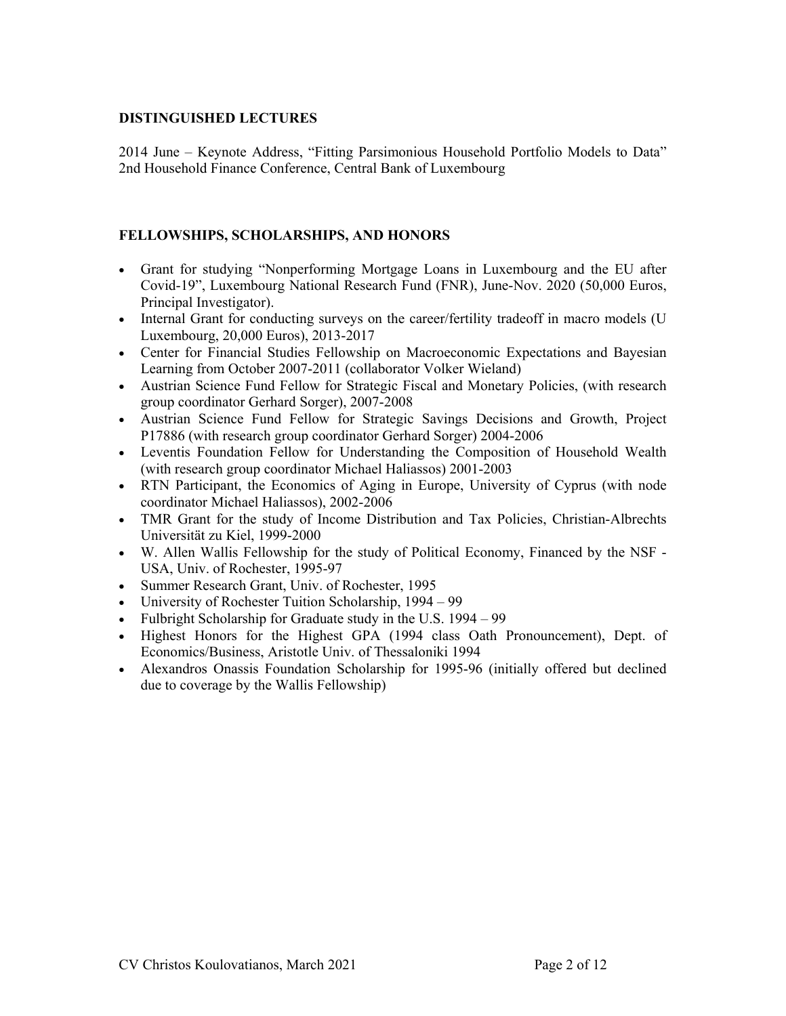## **DISTINGUISHED LECTURES**

2014 June – Keynote Address, "Fitting Parsimonious Household Portfolio Models to Data" 2nd Household Finance Conference, Central Bank of Luxembourg

## **FELLOWSHIPS, SCHOLARSHIPS, AND HONORS**

- Grant for studying "Nonperforming Mortgage Loans in Luxembourg and the EU after Covid-19", Luxembourg National Research Fund (FNR), June-Nov. 2020 (50,000 Euros, Principal Investigator).
- Internal Grant for conducting surveys on the career/fertility tradeoff in macro models (U Luxembourg, 20,000 Euros), 2013-2017
- Center for Financial Studies Fellowship on Macroeconomic Expectations and Bayesian Learning from October 2007-2011 (collaborator Volker Wieland)
- Austrian Science Fund Fellow for Strategic Fiscal and Monetary Policies, (with research group coordinator Gerhard Sorger), 2007-2008
- Austrian Science Fund Fellow for Strategic Savings Decisions and Growth, Project P17886 (with research group coordinator Gerhard Sorger) 2004-2006
- Leventis Foundation Fellow for Understanding the Composition of Household Wealth (with research group coordinator Michael Haliassos) 2001-2003
- RTN Participant, the Economics of Aging in Europe, University of Cyprus (with node coordinator Michael Haliassos), 2002-2006
- TMR Grant for the study of Income Distribution and Tax Policies, Christian-Albrechts Universität zu Kiel, 1999-2000
- W. Allen Wallis Fellowship for the study of Political Economy, Financed by the NSF USA, Univ. of Rochester, 1995-97
- Summer Research Grant, Univ. of Rochester, 1995
- University of Rochester Tuition Scholarship, 1994 99
- Fulbright Scholarship for Graduate study in the U.S. 1994 99
- Highest Honors for the Highest GPA (1994 class Oath Pronouncement), Dept. of Economics/Business, Aristotle Univ. of Thessaloniki 1994
- Alexandros Onassis Foundation Scholarship for 1995-96 (initially offered but declined due to coverage by the Wallis Fellowship)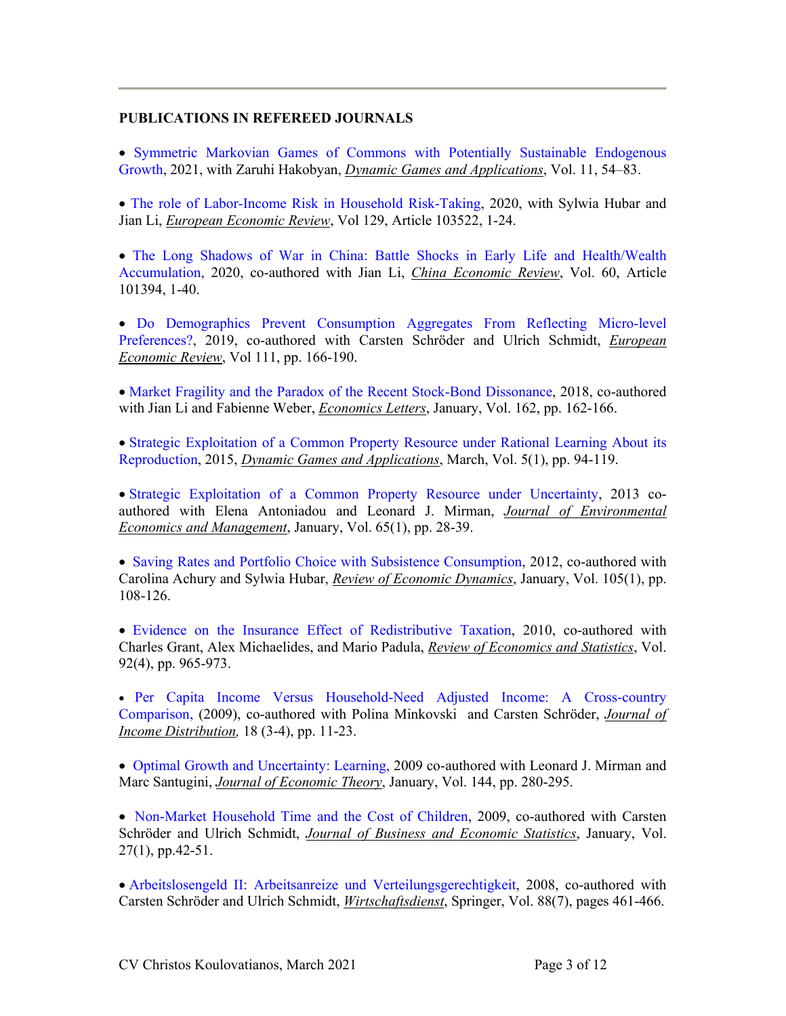## **PUBLICATIONS IN REFEREED JOURNALS**

 Symmetric Markovian Games of Commons with Potentially Sustainable Endogenous Growth, 2021, with Zaruhi Hakobyan, *Dynamic Games and Applications*, Vol. 11, 54–83.

 The role of Labor-Income Risk in Household Risk-Taking, 2020, with Sylwia Hubar and Jian Li, *European Economic Review*, Vol 129, Article 103522, 1-24.

 The Long Shadows of War in China: Battle Shocks in Early Life and Health/Wealth Accumulation, 2020, co-authored with Jian Li, *China Economic Review*, Vol. 60, Article 101394, 1-40.

 Do Demographics Prevent Consumption Aggregates From Reflecting Micro-level Preferences?, 2019, co-authored with Carsten Schröder and Ulrich Schmidt, *European Economic Review*, Vol 111, pp. 166-190.

• Market Fragility and the Paradox of the Recent Stock-Bond Dissonance, 2018, co-authored with Jian Li and Fabienne Weber, *Economics Letters*, January, Vol. 162, pp. 162-166.

 Strategic Exploitation of a Common Property Resource under Rational Learning About its Reproduction, 2015, *Dynamic Games and Applications*, March, Vol. 5(1), pp. 94-119.

 Strategic Exploitation of a Common Property Resource under Uncertainty, 2013 coauthored with Elena Antoniadou and Leonard J. Mirman, *Journal of Environmental Economics and Management*, January, Vol. 65(1), pp. 28-39.

• Saving Rates and Portfolio Choice with Subsistence Consumption, 2012, co-authored with Carolina Achury and Sylwia Hubar, *Review of Economic Dynamics*, January, Vol. 105(1), pp. 108-126.

 Evidence on the Insurance Effect of Redistributive Taxation, 2010, co-authored with Charles Grant, Alex Michaelides, and Mario Padula, *Review of Economics and Statistics*, Vol. 92(4), pp. 965-973.

 Per Capita Income Versus Household-Need Adjusted Income: A Cross-country Comparison, (2009), co-authored with Polina Minkovski and Carsten Schröder, *Journal of Income Distribution,* 18 (3-4), pp. 11-23.

• Optimal Growth and Uncertainty: Learning, 2009 co-authored with Leonard J. Mirman and Marc Santugini, *Journal of Economic Theory*, January, Vol. 144, pp. 280-295.

• Non-Market Household Time and the Cost of Children, 2009, co-authored with Carsten Schröder and Ulrich Schmidt, *Journal of Business and Economic Statistics*, January, Vol. 27(1), pp.42-51.

 Arbeitslosengeld II: Arbeitsanreize und Verteilungsgerechtigkeit, 2008, co-authored with Carsten Schröder and Ulrich Schmidt, *Wirtschaftsdienst*, Springer, Vol. 88(7), pages 461-466.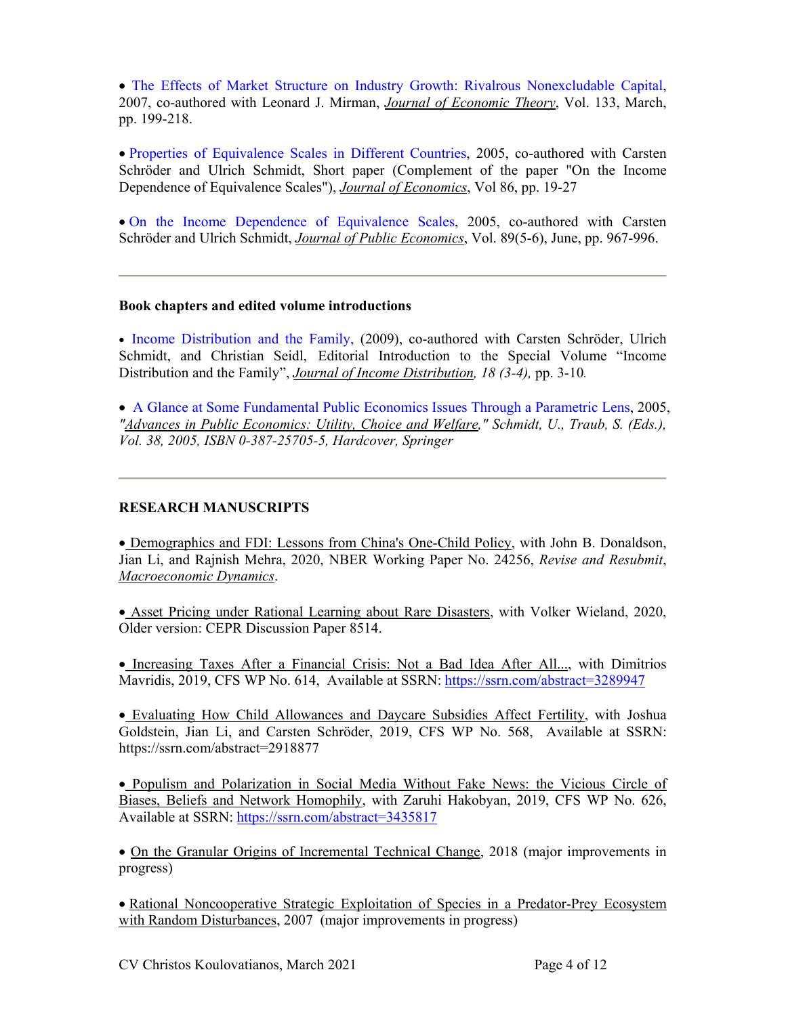• The Effects of Market Structure on Industry Growth: Rivalrous Nonexcludable Capital, 2007, co-authored with Leonard J. Mirman, *Journal of Economic Theory*, Vol. 133, March, pp. 199-218.

 Properties of Equivalence Scales in Different Countries, 2005, co-authored with Carsten Schröder and Ulrich Schmidt, Short paper (Complement of the paper "On the Income Dependence of Equivalence Scales"), *Journal of Economics*, Vol 86, pp. 19-27

 On the Income Dependence of Equivalence Scales, 2005, co-authored with Carsten Schröder and Ulrich Schmidt, *Journal of Public Economics*, Vol. 89(5-6), June, pp. 967-996.

#### **Book chapters and edited volume introductions**

 Income Distribution and the Family, (2009), co-authored with Carsten Schröder, Ulrich Schmidt, and Christian Seidl, Editorial Introduction to the Special Volume "Income Distribution and the Family", *Journal of Income Distribution, 18 (3-4),* pp. 3-10*.*

 A Glance at Some Fundamental Public Economics Issues Through a Parametric Lens, 2005, *"Advances in Public Economics: Utility, Choice and Welfare," Schmidt, U., Traub, S. (Eds.), Vol. 38, 2005, ISBN 0-387-25705-5, Hardcover, Springer*

## **RESEARCH MANUSCRIPTS**

 Demographics and FDI: Lessons from China's One-Child Policy, with John B. Donaldson, Jian Li, and Rajnish Mehra, 2020, NBER Working Paper No. 24256, *Revise and Resubmit*, *Macroeconomic Dynamics*.

 Asset Pricing under Rational Learning about Rare Disasters, with Volker Wieland, 2020, Older version: CEPR Discussion Paper 8514.

 Increasing Taxes After a Financial Crisis: Not a Bad Idea After All..., with Dimitrios Mavridis, 2019, CFS WP No. 614, Available at SSRN: https://ssrn.com/abstract=3289947

 Evaluating How Child Allowances and Daycare Subsidies Affect Fertility, with Joshua Goldstein, Jian Li, and Carsten Schröder, 2019, CFS WP No. 568, Available at SSRN: https://ssrn.com/abstract=2918877

 Populism and Polarization in Social Media Without Fake News: the Vicious Circle of Biases, Beliefs and Network Homophily, with Zaruhi Hakobyan, 2019, CFS WP No. 626, Available at SSRN: https://ssrn.com/abstract=3435817

• On the Granular Origins of Incremental Technical Change, 2018 (major improvements in progress)

Rational Noncooperative Strategic Exploitation of Species in a Predator-Prey Ecosystem with Random Disturbances, 2007 (major improvements in progress)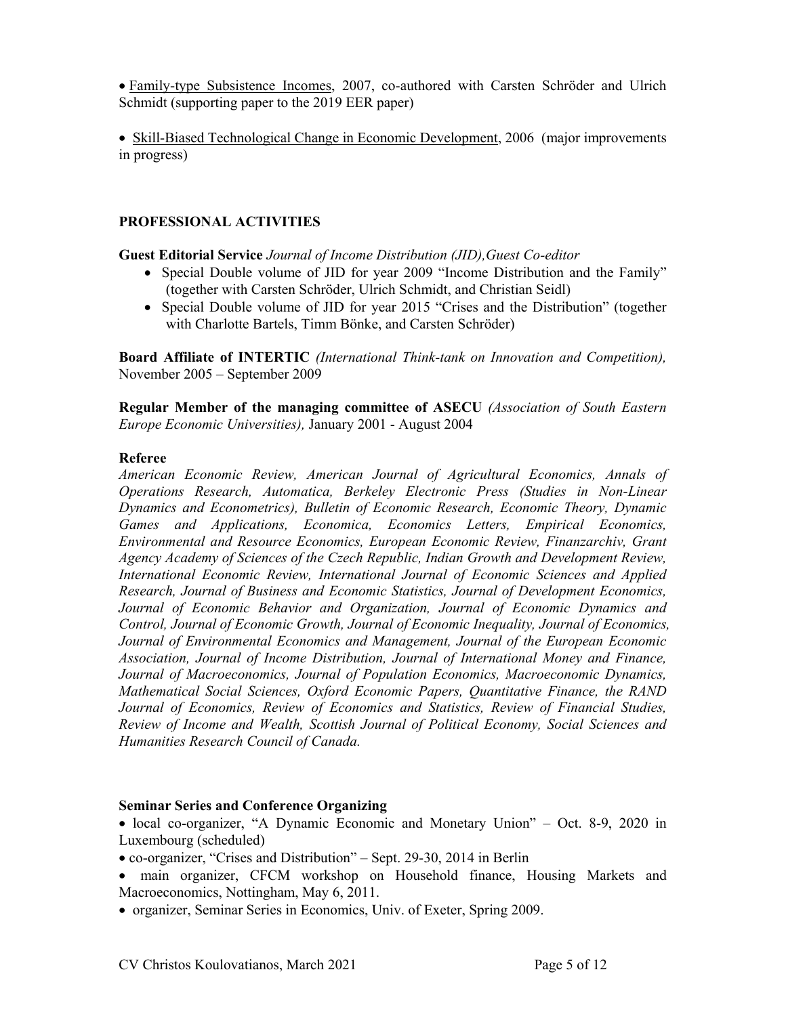Family-type Subsistence Incomes, 2007, co-authored with Carsten Schröder and Ulrich Schmidt (supporting paper to the 2019 EER paper)

• Skill-Biased Technological Change in Economic Development, 2006 (major improvements in progress)

## **PROFESSIONAL ACTIVITIES**

**Guest Editorial Service** *Journal of Income Distribution (JID),Guest Co-editor* 

- Special Double volume of JID for year 2009 "Income Distribution and the Family" (together with Carsten Schröder, Ulrich Schmidt, and Christian Seidl)
- Special Double volume of JID for year 2015 "Crises and the Distribution" (together with Charlotte Bartels, Timm Bönke, and Carsten Schröder)

**Board Affiliate of INTERTIC** *(International Think-tank on Innovation and Competition),* November 2005 – September 2009

**Regular Member of the managing committee of ASECU** *(Association of South Eastern Europe Economic Universities),* January 2001 - August 2004

#### **Referee**

*American Economic Review, American Journal of Agricultural Economics, Annals of Operations Research, Automatica, Berkeley Electronic Press (Studies in Non-Linear Dynamics and Econometrics), Bulletin of Economic Research, Economic Theory, Dynamic Games and Applications, Economica, Economics Letters, Empirical Economics, Environmental and Resource Economics, European Economic Review, Finanzarchiv, Grant Agency Academy of Sciences of the Czech Republic, Indian Growth and Development Review, International Economic Review, International Journal of Economic Sciences and Applied Research, Journal of Business and Economic Statistics, Journal of Development Economics, Journal of Economic Behavior and Organization, Journal of Economic Dynamics and Control, Journal of Economic Growth, Journal of Economic Inequality, Journal of Economics, Journal of Environmental Economics and Management, Journal of the European Economic Association, Journal of Income Distribution, Journal of International Money and Finance, Journal of Macroeconomics, Journal of Population Economics, Macroeconomic Dynamics, Mathematical Social Sciences, Oxford Economic Papers, Quantitative Finance, the RAND Journal of Economics, Review of Economics and Statistics, Review of Financial Studies, Review of Income and Wealth, Scottish Journal of Political Economy, Social Sciences and Humanities Research Council of Canada.* 

#### **Seminar Series and Conference Organizing**

- local co-organizer, "A Dynamic Economic and Monetary Union" Oct. 8-9, 2020 in Luxembourg (scheduled)
- co-organizer, "Crises and Distribution" Sept. 29-30, 2014 in Berlin
- main organizer, CFCM workshop on Household finance, Housing Markets and Macroeconomics, Nottingham, May 6, 2011.
- organizer, Seminar Series in Economics, Univ. of Exeter, Spring 2009.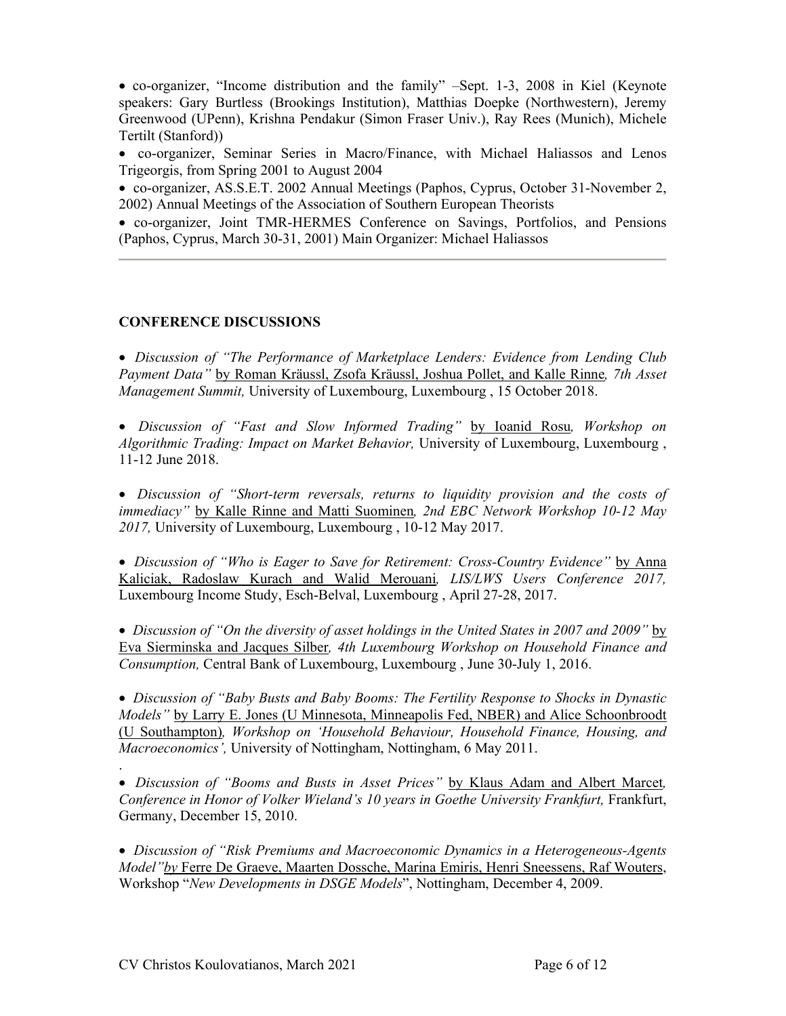co-organizer, "Income distribution and the family" –Sept. 1-3, 2008 in Kiel (Keynote speakers: Gary Burtless (Brookings Institution), Matthias Doepke (Northwestern), Jeremy Greenwood (UPenn), Krishna Pendakur (Simon Fraser Univ.), Ray Rees (Munich), Michele Tertilt (Stanford))

 co-organizer, Seminar Series in Macro/Finance, with Michael Haliassos and Lenos Trigeorgis, from Spring 2001 to August 2004

 co-organizer, AS.S.E.T. 2002 Annual Meetings (Paphos, Cyprus, October 31-November 2, 2002) Annual Meetings of the Association of Southern European Theorists

 co-organizer, Joint TMR-HERMES Conference on Savings, Portfolios, and Pensions (Paphos, Cyprus, March 30-31, 2001) Main Organizer: Michael Haliassos

## **CONFERENCE DISCUSSIONS**

 *Discussion of "The Performance of Marketplace Lenders: Evidence from Lending Club Payment Data"* by Roman Kräussl, Zsofa Kräussl, Joshua Pollet, and Kalle Rinne*, 7th Asset Management Summit,* University of Luxembourg, Luxembourg , 15 October 2018.

 *Discussion of "Fast and Slow Informed Trading"* by Ioanid Rosu*, Workshop on Algorithmic Trading: Impact on Market Behavior,* University of Luxembourg, Luxembourg , 11-12 June 2018.

 *Discussion of "Short-term reversals, returns to liquidity provision and the costs of immediacy"* by Kalle Rinne and Matti Suominen*, 2nd EBC Network Workshop 10-12 May 2017,* University of Luxembourg, Luxembourg , 10-12 May 2017.

 *Discussion of "Who is Eager to Save for Retirement: Cross-Country Evidence"* by Anna Kaliciak, Radoslaw Kurach and Walid Merouani*, LIS/LWS Users Conference 2017,*  Luxembourg Income Study, Esch-Belval, Luxembourg , April 27-28, 2017.

 *Discussion of "On the diversity of asset holdings in the United States in 2007 and 2009"* by Eva Sierminska and Jacques Silber*, 4th Luxembourg Workshop on Household Finance and Consumption,* Central Bank of Luxembourg, Luxembourg , June 30-July 1, 2016.

 *Discussion of "Baby Busts and Baby Booms: The Fertility Response to Shocks in Dynastic Models"* by Larry E. Jones (U Minnesota, Minneapolis Fed, NBER) and Alice Schoonbroodt (U Southampton)*, Workshop on 'Household Behaviour, Household Finance, Housing, and Macroeconomics',* University of Nottingham, Nottingham, 6 May 2011.

 *Discussion of "Booms and Busts in Asset Prices"* by Klaus Adam and Albert Marcet*, Conference in Honor of Volker Wieland's 10 years in Goethe University Frankfurt, Frankfurt,* Germany, December 15, 2010.

 *Discussion of "Risk Premiums and Macroeconomic Dynamics in a Heterogeneous-Agents Model"by* Ferre De Graeve, Maarten Dossche, Marina Emiris, Henri Sneessens, Raf Wouters, Workshop "*New Developments in DSGE Models*", Nottingham, December 4, 2009.

.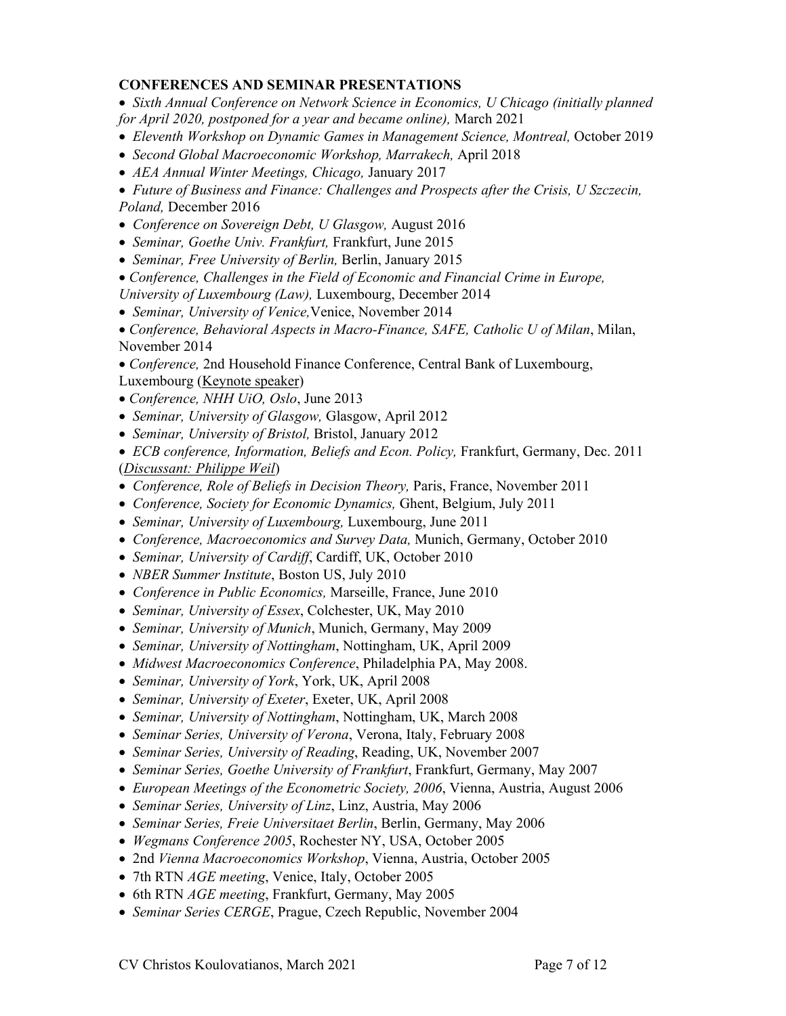# **CONFERENCES AND SEMINAR PRESENTATIONS**

- *Sixth Annual Conference on Network Science in Economics, U Chicago (initially planned for April 2020, postponed for a year and became online),* March 2021
- *Eleventh Workshop on Dynamic Games in Management Science, Montreal,* October 2019
- *Second Global Macroeconomic Workshop, Marrakech,* April 2018
- *AEA Annual Winter Meetings, Chicago,* January 2017
- *Future of Business and Finance: Challenges and Prospects after the Crisis, U Szczecin, Poland,* December 2016
- *Conference on Sovereign Debt, U Glasgow,* August 2016
- *Seminar, Goethe Univ. Frankfurt,* Frankfurt, June 2015
- *Seminar, Free University of Berlin,* Berlin, January 2015
- *Conference, Challenges in the Field of Economic and Financial Crime in Europe,*
- *University of Luxembourg (Law),* Luxembourg, December 2014
- *Seminar, University of Venice,*Venice, November 2014
- *Conference, Behavioral Aspects in Macro-Finance, SAFE, Catholic U of Milan*, Milan, November 2014
- *Conference,* 2nd Household Finance Conference, Central Bank of Luxembourg, Luxembourg (Keynote speaker)
- *Conference, NHH UiO, Oslo*, June 2013
- *Seminar, University of Glasgow,* Glasgow, April 2012
- *Seminar, University of Bristol,* Bristol, January 2012
- *ECB conference, Information, Beliefs and Econ. Policy,* Frankfurt, Germany, Dec. 2011 (*Discussant: Philippe Weil*)
- *Conference, Role of Beliefs in Decision Theory,* Paris, France, November 2011
- *Conference, Society for Economic Dynamics,* Ghent, Belgium, July 2011
- *Seminar, University of Luxembourg,* Luxembourg, June 2011
- *Conference, Macroeconomics and Survey Data,* Munich, Germany, October 2010
- *Seminar, University of Cardiff*, Cardiff, UK, October 2010
- *NBER Summer Institute*, Boston US, July 2010
- *Conference in Public Economics,* Marseille, France, June 2010
- *Seminar, University of Essex*, Colchester, UK, May 2010
- *Seminar, University of Munich*, Munich, Germany, May 2009
- *Seminar, University of Nottingham*, Nottingham, UK, April 2009
- *Midwest Macroeconomics Conference*, Philadelphia PA, May 2008.
- *Seminar, University of York*, York, UK, April 2008
- *Seminar, University of Exeter*, Exeter, UK, April 2008
- *Seminar, University of Nottingham*, Nottingham, UK, March 2008
- *Seminar Series, University of Verona*, Verona, Italy, February 2008
- *Seminar Series, University of Reading*, Reading, UK, November 2007
- *Seminar Series, Goethe University of Frankfurt*, Frankfurt, Germany, May 2007
- *European Meetings of the Econometric Society, 2006*, Vienna, Austria, August 2006
- *Seminar Series, University of Linz*, Linz, Austria, May 2006
- *Seminar Series, Freie Universitaet Berlin*, Berlin, Germany, May 2006
- *Wegmans Conference 2005*, Rochester NY, USA, October 2005
- 2nd *Vienna Macroeconomics Workshop*, Vienna, Austria, October 2005
- 7th RTN *AGE meeting*, Venice, Italy, October 2005
- 6th RTN *AGE meeting*, Frankfurt, Germany, May 2005
- *Seminar Series CERGE*, Prague, Czech Republic, November 2004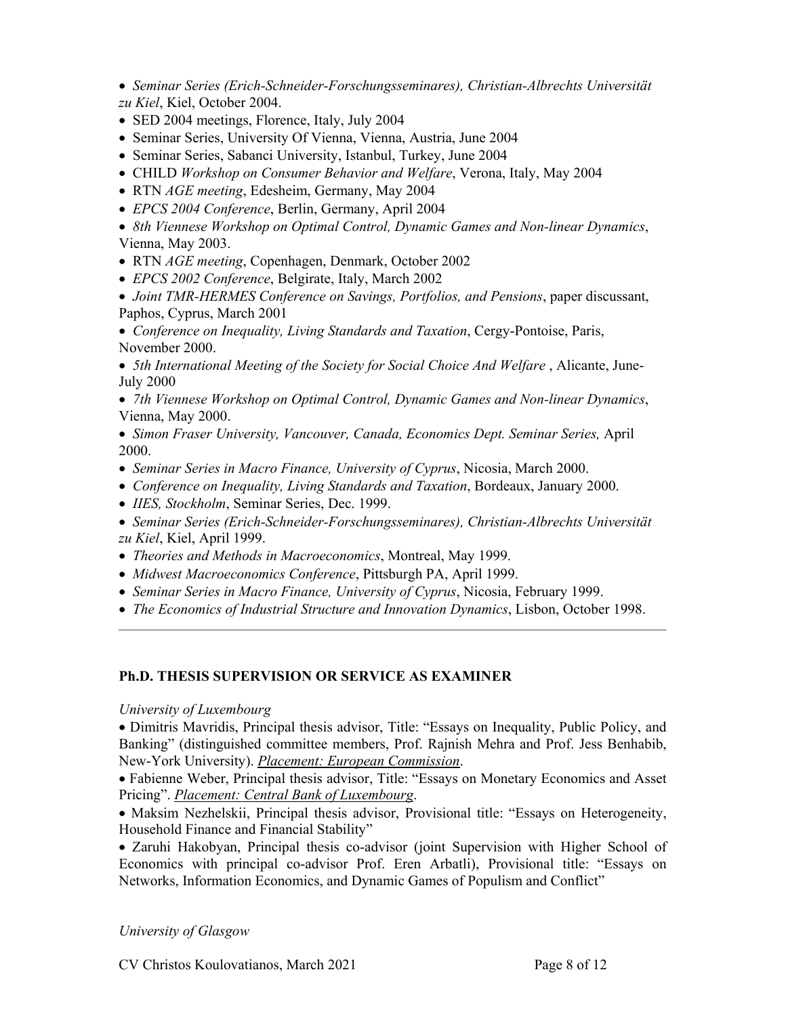- *Seminar Series (Erich-Schneider-Forschungsseminares), Christian-Albrechts Universität zu Kiel*, Kiel, October 2004.
- SED 2004 meetings, Florence, Italy, July 2004
- Seminar Series, University Of Vienna, Vienna, Austria, June 2004
- Seminar Series, Sabanci University, Istanbul, Turkey, June 2004
- CHILD *Workshop on Consumer Behavior and Welfare*, Verona, Italy, May 2004
- RTN *AGE meeting*, Edesheim, Germany, May 2004
- *EPCS 2004 Conference*, Berlin, Germany, April 2004

 *8th Viennese Workshop on Optimal Control, Dynamic Games and Non-linear Dynamics*, Vienna, May 2003.

- RTN *AGE meeting*, Copenhagen, Denmark, October 2002
- *EPCS 2002 Conference*, Belgirate, Italy, March 2002

 *Joint TMR-HERMES Conference on Savings, Portfolios, and Pensions*, paper discussant, Paphos, Cyprus, March 2001

 *Conference on Inequality, Living Standards and Taxation*, Cergy-Pontoise, Paris, November 2000.

 *5th International Meeting of the Society for Social Choice And Welfare* , Alicante, June-July 2000

 *7th Viennese Workshop on Optimal Control, Dynamic Games and Non-linear Dynamics*, Vienna, May 2000.

- *Simon Fraser University, Vancouver, Canada, Economics Dept. Seminar Series,* April 2000.
- *Seminar Series in Macro Finance, University of Cyprus*, Nicosia, March 2000.
- *Conference on Inequality, Living Standards and Taxation*, Bordeaux, January 2000.
- *IIES, Stockholm*, Seminar Series, Dec. 1999.
- *Seminar Series (Erich-Schneider-Forschungsseminares), Christian-Albrechts Universität zu Kiel*, Kiel, April 1999.
- *Theories and Methods in Macroeconomics*, Montreal, May 1999.
- *Midwest Macroeconomics Conference*, Pittsburgh PA, April 1999.
- *Seminar Series in Macro Finance, University of Cyprus*, Nicosia, February 1999.
- *The Economics of Industrial Structure and Innovation Dynamics*, Lisbon, October 1998.

## **Ph.D. THESIS SUPERVISION OR SERVICE AS EXAMINER**

#### *University of Luxembourg*

 Dimitris Mavridis, Principal thesis advisor, Title: "Essays on Inequality, Public Policy, and Banking" (distinguished committee members, Prof. Rajnish Mehra and Prof. Jess Benhabib, New-York University). *Placement: European Commission*.

 Fabienne Weber, Principal thesis advisor, Title: "Essays on Monetary Economics and Asset Pricing". *Placement: Central Bank of Luxembourg*.

 Maksim Nezhelskii, Principal thesis advisor, Provisional title: "Essays on Heterogeneity, Household Finance and Financial Stability"

 Zaruhi Hakobyan, Principal thesis co-advisor (joint Supervision with Higher School of Economics with principal co-advisor Prof. Eren Arbatli), Provisional title: "Essays on Networks, Information Economics, and Dynamic Games of Populism and Conflict"

*University of Glasgow* 

CV Christos Koulovatianos, March 2021 Page 8 of 12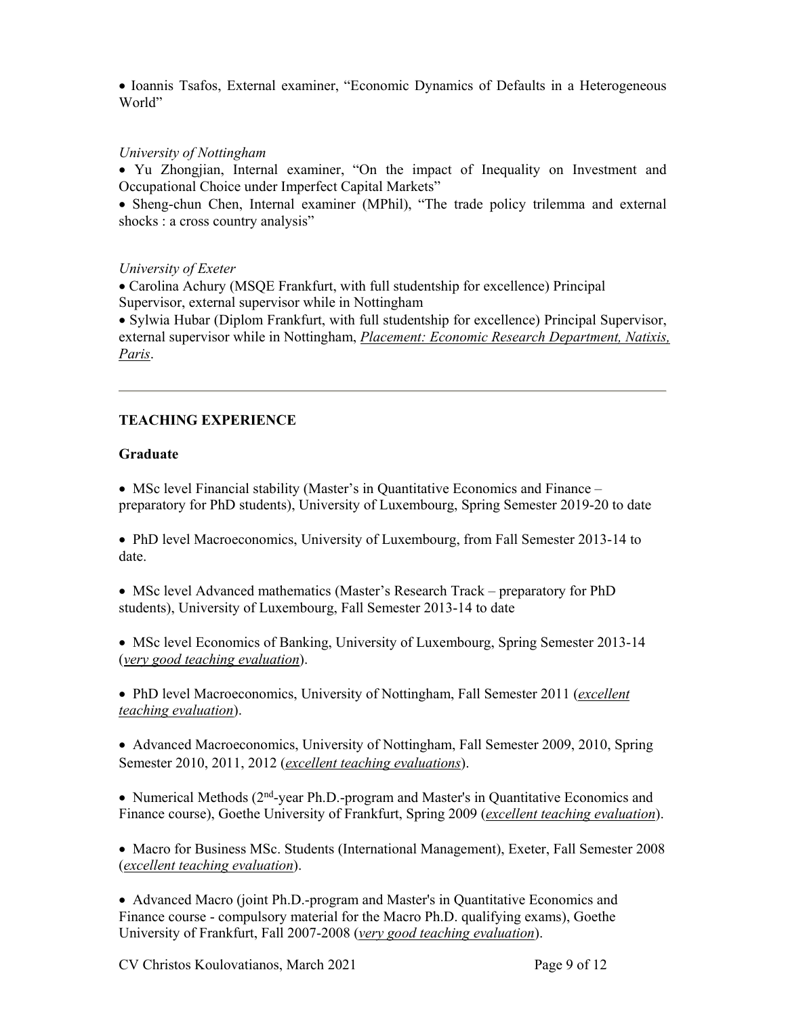• Ioannis Tsafos, External examiner, "Economic Dynamics of Defaults in a Heterogeneous World"

## *University of Nottingham*

 Yu Zhongjian, Internal examiner, "On the impact of Inequality on Investment and Occupational Choice under Imperfect Capital Markets"

 Sheng-chun Chen, Internal examiner (MPhil), "The trade policy trilemma and external shocks : a cross country analysis"

## *University of Exeter*

 Carolina Achury (MSQE Frankfurt, with full studentship for excellence) Principal Supervisor, external supervisor while in Nottingham

 Sylwia Hubar (Diplom Frankfurt, with full studentship for excellence) Principal Supervisor, external supervisor while in Nottingham, *Placement: Economic Research Department, Natixis, Paris*.

## **TEACHING EXPERIENCE**

## **Graduate**

• MSc level Financial stability (Master's in Quantitative Economics and Finance – preparatory for PhD students), University of Luxembourg, Spring Semester 2019-20 to date

• PhD level Macroeconomics, University of Luxembourg, from Fall Semester 2013-14 to date.

 MSc level Advanced mathematics (Master's Research Track – preparatory for PhD students), University of Luxembourg, Fall Semester 2013-14 to date

• MSc level Economics of Banking, University of Luxembourg, Spring Semester 2013-14 (*very good teaching evaluation*).

 PhD level Macroeconomics, University of Nottingham, Fall Semester 2011 (*excellent teaching evaluation*).

 Advanced Macroeconomics, University of Nottingham, Fall Semester 2009, 2010, Spring Semester 2010, 2011, 2012 (*excellent teaching evaluations*).

• Numerical Methods (2<sup>nd</sup>-year Ph.D.-program and Master's in Quantitative Economics and Finance course), Goethe University of Frankfurt, Spring 2009 (*excellent teaching evaluation*).

• Macro for Business MSc. Students (International Management), Exeter, Fall Semester 2008 (*excellent teaching evaluation*).

 Advanced Macro (joint Ph.D.-program and Master's in Quantitative Economics and Finance course - compulsory material for the Macro Ph.D. qualifying exams), Goethe University of Frankfurt, Fall 2007-2008 (*very good teaching evaluation*).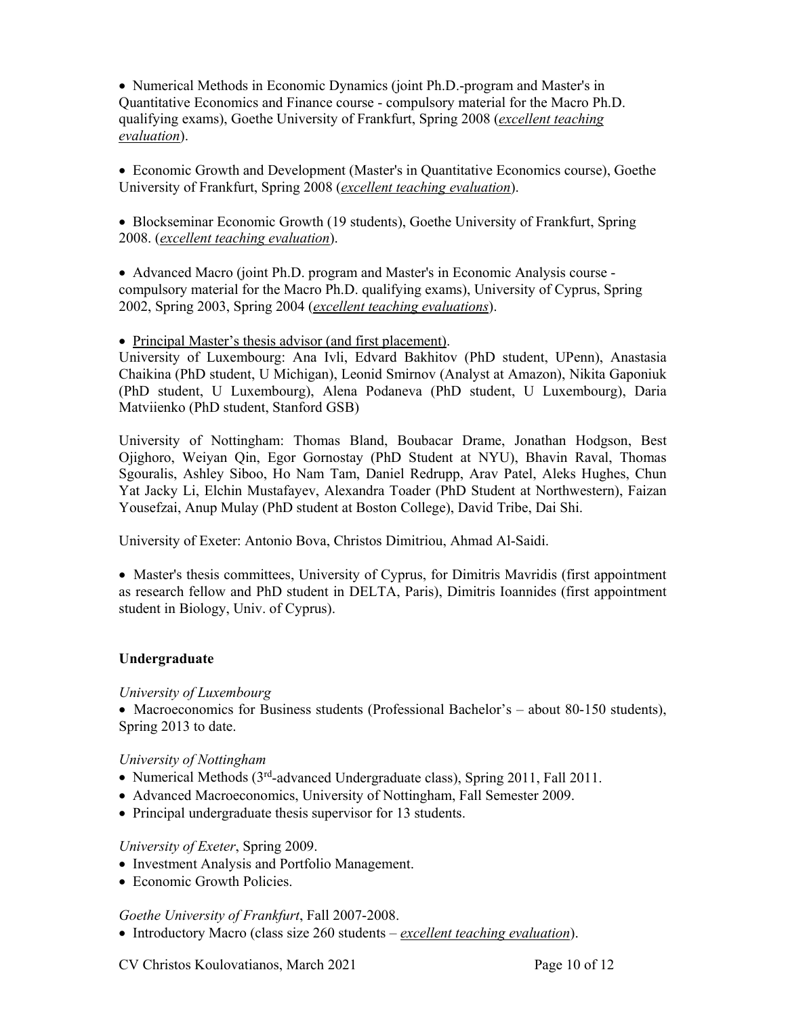• Numerical Methods in Economic Dynamics (joint Ph.D.-program and Master's in Quantitative Economics and Finance course - compulsory material for the Macro Ph.D. qualifying exams), Goethe University of Frankfurt, Spring 2008 (*excellent teaching evaluation*).

 Economic Growth and Development (Master's in Quantitative Economics course), Goethe University of Frankfurt, Spring 2008 (*excellent teaching evaluation*).

 Blockseminar Economic Growth (19 students), Goethe University of Frankfurt, Spring 2008. (*excellent teaching evaluation*).

 Advanced Macro (joint Ph.D. program and Master's in Economic Analysis course compulsory material for the Macro Ph.D. qualifying exams), University of Cyprus, Spring 2002, Spring 2003, Spring 2004 (*excellent teaching evaluations*).

• Principal Master's thesis advisor (and first placement).

University of Luxembourg: Ana Ivli, Edvard Bakhitov (PhD student, UPenn), Anastasia Chaikina (PhD student, U Michigan), Leonid Smirnov (Analyst at Amazon), Nikita Gaponiuk (PhD student, U Luxembourg), Alena Podaneva (PhD student, U Luxembourg), Daria Matviienko (PhD student, Stanford GSB)

University of Nottingham: Thomas Bland, Boubacar Drame, Jonathan Hodgson, Best Ojighoro, Weiyan Qin, Egor Gornostay (PhD Student at NYU), Bhavin Raval, Thomas Sgouralis, Ashley Siboo, Ho Nam Tam, Daniel Redrupp, Arav Patel, Aleks Hughes, Chun Yat Jacky Li, Elchin Mustafayev, Alexandra Toader (PhD Student at Northwestern), Faizan Yousefzai, Anup Mulay (PhD student at Boston College), David Tribe, Dai Shi.

University of Exeter: Antonio Bova, Christos Dimitriou, Ahmad Al-Saidi.

• Master's thesis committees, University of Cyprus, for Dimitris Mavridis (first appointment as research fellow and PhD student in DELTA, Paris), Dimitris Ioannides (first appointment student in Biology, Univ. of Cyprus).

#### **Undergraduate**

*University of Luxembourg*

• Macroeconomics for Business students (Professional Bachelor's – about 80-150 students), Spring 2013 to date.

#### *University of Nottingham*

- Numerical Methods (3<sup>rd</sup>-advanced Undergraduate class), Spring 2011, Fall 2011.
- Advanced Macroeconomics, University of Nottingham, Fall Semester 2009.
- Principal undergraduate thesis supervisor for 13 students.

#### *University of Exeter*, Spring 2009.

- Investment Analysis and Portfolio Management.
- Economic Growth Policies.

#### *Goethe University of Frankfurt*, Fall 2007-2008.

Introductory Macro (class size 260 students – *excellent teaching evaluation*).

CV Christos Koulovatianos, March 2021 Page 10 of 12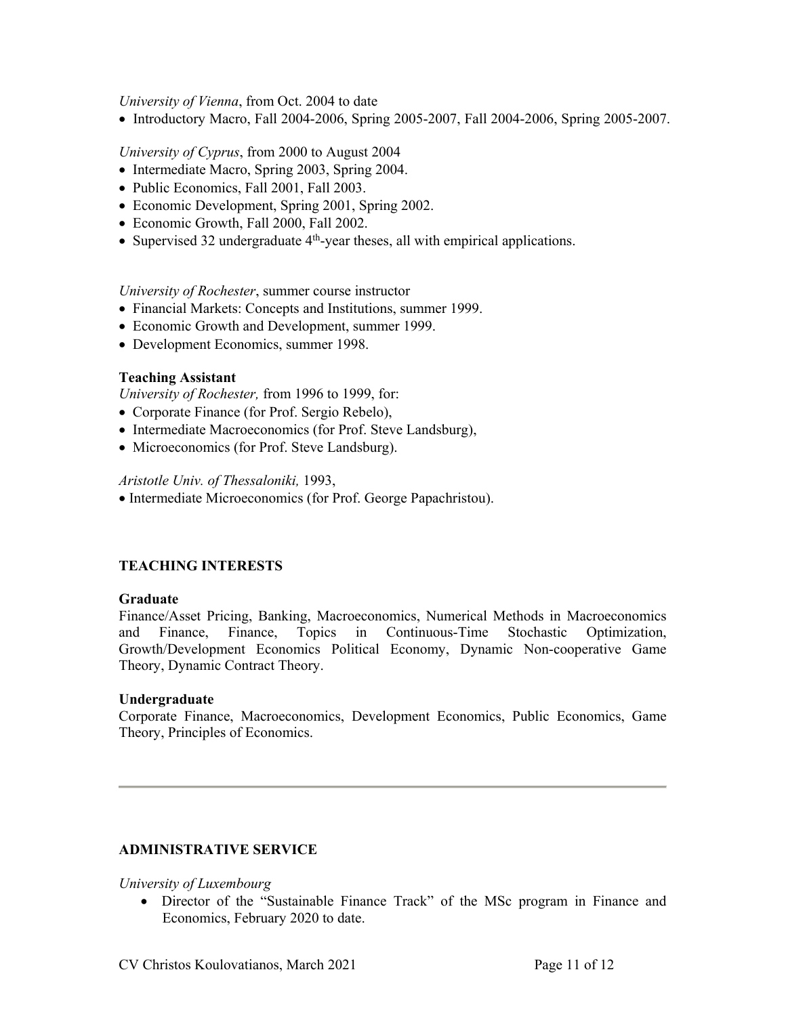*University of Vienna*, from Oct. 2004 to date

• Introductory Macro, Fall 2004-2006, Spring 2005-2007, Fall 2004-2006, Spring 2005-2007.

*University of Cyprus*, from 2000 to August 2004

- Intermediate Macro, Spring 2003, Spring 2004.
- Public Economics, Fall 2001, Fall 2003.
- Economic Development, Spring 2001, Spring 2002.
- Economic Growth, Fall 2000, Fall 2002.
- Supervised 32 undergraduate  $4<sup>th</sup>$ -year theses, all with empirical applications.

*University of Rochester*, summer course instructor

- Financial Markets: Concepts and Institutions, summer 1999.
- Economic Growth and Development, summer 1999.
- Development Economics, summer 1998.

## **Teaching Assistant**

*University of Rochester,* from 1996 to 1999, for:

- Corporate Finance (for Prof. Sergio Rebelo),
- Intermediate Macroeconomics (for Prof. Steve Landsburg),
- Microeconomics (for Prof. Steve Landsburg).

*Aristotle Univ. of Thessaloniki,* 1993,

Intermediate Microeconomics (for Prof. George Papachristou).

## **TEACHING INTERESTS**

#### **Graduate**

Finance/Asset Pricing, Banking, Macroeconomics, Numerical Methods in Macroeconomics and Finance, Finance, Topics in Continuous-Time Stochastic Optimization, Growth/Development Economics Political Economy, Dynamic Non-cooperative Game Theory, Dynamic Contract Theory.

#### **Undergraduate**

Corporate Finance, Macroeconomics, Development Economics, Public Economics, Game Theory, Principles of Economics.

#### **ADMINISTRATIVE SERVICE**

#### *University of Luxembourg*

 Director of the "Sustainable Finance Track" of the MSc program in Finance and Economics, February 2020 to date.